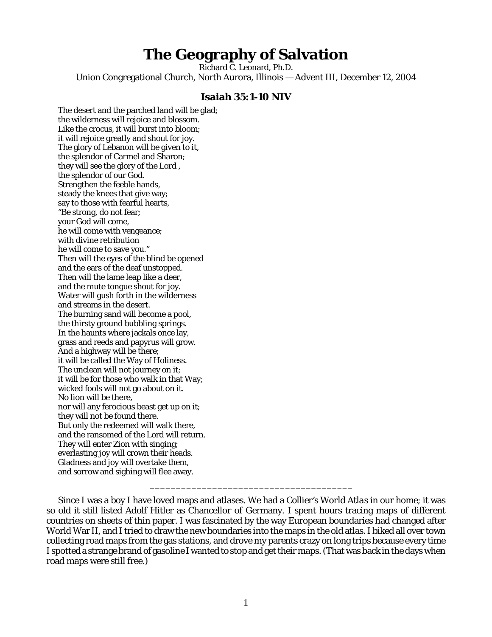# **The Geography of Salvation**

Richard C. Leonard, Ph.D. Union Congregational Church, North Aurora, Illinois — Advent III, December 12, 2004

## **Isaiah 35:1-10 NIV**

The desert and the parched land will be glad; the wilderness will rejoice and blossom. Like the crocus, it will burst into bloom; it will rejoice greatly and shout for joy. The glory of Lebanon will be given to it, the splendor of Carmel and Sharon; they will see the glory of the Lord , the splendor of our God. Strengthen the feeble hands, steady the knees that give way; say to those with fearful hearts, "Be strong, do not fear; your God will come, he will come with vengeance; with divine retribution he will come to save you." Then will the eyes of the blind be opened and the ears of the deaf unstopped. Then will the lame leap like a deer, and the mute tongue shout for joy. Water will gush forth in the wilderness and streams in the desert. The burning sand will become a pool, the thirsty ground bubbling springs. In the haunts where jackals once lay, grass and reeds and papyrus will grow. And a highway will be there; it will be called the Way of Holiness. The unclean will not journey on it; it will be for those who walk in that Way; wicked fools will not go about on it. No lion will be there, nor will any ferocious beast get up on it; they will not be found there. But only the redeemed will walk there, and the ransomed of the Lord will return. They will enter Zion with singing; everlasting joy will crown their heads. Gladness and joy will overtake them, and sorrow and sighing will flee away.

\_\_\_\_\_\_\_\_\_\_\_\_\_\_\_\_\_\_\_\_\_\_\_\_\_\_\_\_\_\_\_\_\_\_\_\_\_\_\_

Since I was a boy I have loved maps and atlases. We had a *Collier's World Atlas* in our home; it was so old it still listed Adolf Hitler as Chancellor of Germany. I spent hours tracing maps of different countries on sheets of thin paper. I was fascinated by the way European boundaries had changed after World War II, and I tried to draw the new boundaries into the maps in the old atlas. I biked all over town collecting road maps from the gas stations, and drove my parents crazy on long trips because every time I spotted a strange brand of gasoline I wanted to stop and get their maps. (That was back in the days when road maps were still free.)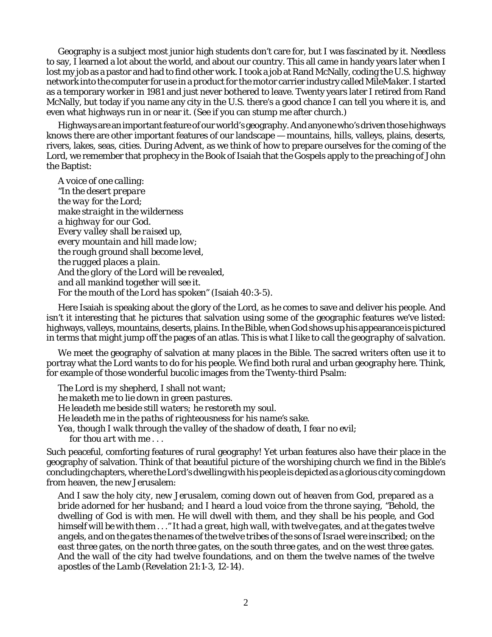Geography is a subject most junior high students don't care for, but I was fascinated by it. Needless to say, I learned a lot about the world, and about our country. This all came in handy years later when I lost my job as a pastor and had to find other work. I took a job at Rand McNally, coding the U.S. highway network into the computer for use in a product for the motor carrier industry called *MileMaker.* I started as a temporary worker in 1981 and just never bothered to leave. Twenty years later I retired from Rand McNally, but today if you name any city in the U.S. there's a good chance I can tell you where it is, and even what highways run in or near it. (See if you can stump me after church.)

Highways are an important feature of our world's geography. And anyone who's driven those highways knows there are other important features of our landscape — mountains, hills, valleys, plains, deserts, rivers, lakes, seas, cities. During Advent, as we think of how to prepare ourselves for the coming of the Lord, we remember that prophecy in the Book of Isaiah that the Gospels apply to the preaching of John the Baptist:

*A voice of one calling: "In the desert prepare the way for the Lord; make straight in the wilderness a highway for our God. Every valley shall be raised up, every mountain and hill made low; the rough ground shall become level, the rugged places a plain. And the glory of the Lord will be revealed, and all mankind together will see it. For the mouth of the Lord has spoken"* (Isaiah 40:3-5).

Here Isaiah is speaking about the glory of the Lord, as he comes to save and deliver his people. And isn't it interesting that he pictures that salvation using some of the geographic features we've listed: highways, valleys, mountains, deserts, plains. In the Bible, when God shows up his appearance is pictured in terms that might jump off the pages of an atlas. This is what I like to call *the geography of salvation*.

We meet the geography of salvation at many places in the Bible. The sacred writers often use it to portray what the Lord wants to do for his people. We find both rural and urban geography here. Think, for example of those wonderful bucolic images from the Twenty-third Psalm:

*The Lord is my shepherd, I shall not want; he maketh me to lie down in green pastures. He leadeth me beside still waters; he restoreth my soul. He leadeth me in the paths of righteousness for his name's sake. Yea, though I walk through the valley of the shadow of death, I fear no evil; for thou art with me . . .*

Such peaceful, comforting features of rural geography! Yet urban features also have their place in the geography of salvation. Think of that beautiful picture of the worshiping church we find in the Bible's concluding chapters, where the Lord's dwelling with his people is depicted as a glorious city coming down from heaven, the new Jerusalem:

*And I saw the holy city, new Jerusalem, coming down out of heaven from God, prepared as a bride adorned for her husband; and I heard a loud voice from the throne saying, "Behold, the dwelling of God is with men. He will dwell with them, and they shall be his people, and God himself will be with them . . ." It had a great, high wall, with twelve gates, and at the gates twelve angels, and on the gates the names of the twelve tribes of the sons of Israel were inscribed; on the east three gates, on the north three gates, on the south three gates, and on the west three gates. And the wall of the city had twelve foundations, and on them the twelve names of the twelve apostles of the Lamb* (Revelation 21:1-3, 12-14).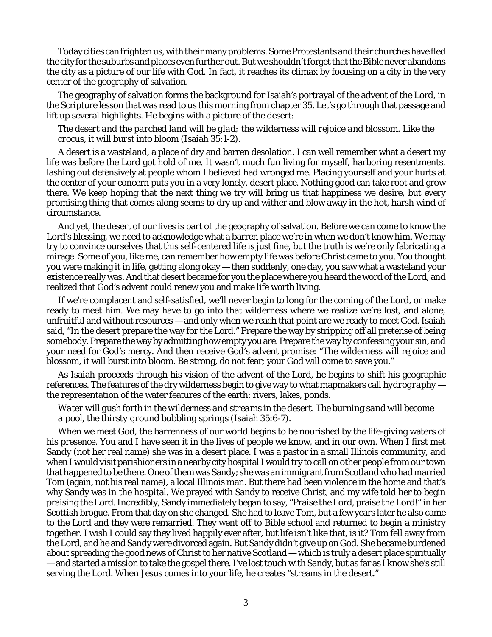Today cities can frighten us, with their many problems. Some Protestants and their churches have fled the city for the suburbs and places even further out. But we shouldn't forget that the Bible never abandons the city as a picture of our life with God. In fact, it reaches its climax by focusing on a city in the very center of the geography of salvation.

The geography of salvation forms the background for Isaiah's portrayal of the advent of the Lord, in the Scripture lesson that was read to us this morning from chapter 35. Let's go through that passage and lift up several highlights. He begins with a picture of the desert:

#### *The desert and the parched land will be glad; the wilderness will rejoice and blossom. Like the crocus, it will burst into bloom* (Isaiah 35:1-2).

A desert is a wasteland, a place of dry and barren desolation. I can well remember what a *desert* my life was before the Lord got hold of me. It wasn't much fun living for myself, harboring resentments, lashing out defensively at people whom I believed had wronged me. Placing yourself and your hurts at the center of your concern puts you in a very lonely, desert place. Nothing good can take root and grow there. We keep hoping that the next thing we try will bring us that happiness we desire, but every promising thing that comes along seems to dry up and wither and blow away in the hot, harsh wind of circumstance.

And yet, the desert of our lives is part of the geography of salvation. Before we can come to know the Lord's blessing, we need to acknowledge what a barren place we're in when we don't know him. We may try to convince ourselves that this self-centered life is just fine, but the truth is we're only fabricating a mirage. Some of you, like me, can remember how empty life was before Christ came to you. You thought you were making it in life, getting along okay — then suddenly, one day, you saw what a wasteland your existence really was. And that desert became for you the place where you heard the word of the Lord, and realized that God's advent could renew you and make life worth living.

If we're complacent and self-satisfied, we'll never begin to long for the coming of the Lord, or make ready to meet him. We may have to go into that wilderness where we realize we're lost, and alone, unfruitful and without resources — and only when we reach that point are we ready to meet God. Isaiah said, "In the desert prepare the way for the Lord." Prepare the way by stripping off all pretense of being somebody. Prepare the way by admitting how empty you are. Prepare the way by confessing your sin, and your need for God's mercy. And then receive God's advent promise: "The wilderness will rejoice and blossom, it will burst into bloom. Be strong, do not fear; your God will come to save you."

As Isaiah proceeds through his vision of the advent of the Lord, he begins to shift his geographic references. The features of the dry wilderness begin to give way to what mapmakers call *hydrography* the representation of the water features of the earth: rivers, lakes, ponds.

# *Water will gush forth in the wilderness and streams in the desert. The burning sand will become a pool, the thirsty ground bubbling springs* (Isaiah 35:6-7).

When we meet God, the barrenness of our world begins to be nourished by the life-giving waters of his presence. You and I have seen it in the lives of people we know, and in our own. When I first met Sandy (not her real name) she was in a desert place. I was a pastor in a small Illinois community, and when I would visit parishioners in a nearby city hospital I would try to call on other people from our town that happened to be there. One of them was Sandy; she was an immigrant from Scotland who had married Tom (again, not his real name), a local Illinois man. But there had been violence in the home and that's why Sandy was in the hospital. We prayed with Sandy to receive Christ, and my wife told her to begin praising the Lord. Incredibly, Sandy immediately began to say, "Praise the Lord, praise the Lord!" in her Scottish brogue. From that day on she changed. She had to leave Tom, but a few years later he also came to the Lord and they were remarried. They went off to Bible school and returned to begin a ministry together. I wish I could say they lived happily ever after, but life isn't like that, is it? Tom fell away from the Lord, and he and Sandy were divorced again. But Sandy didn't give up on God. She became burdened about spreading the good news of Christ to her native Scotland — which is truly a desert place spiritually — and started a mission to take the gospel there. I've lost touch with Sandy, but as far as I know she's still serving the Lord. When Jesus comes into your life, he creates "streams in the desert."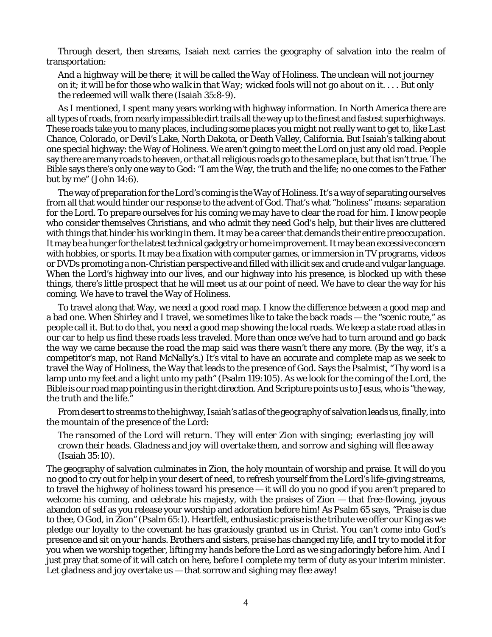Through desert, then streams, Isaiah next carries the geography of salvation into the realm of transportation:

*And a highway will be there; it will be called the Way of Holiness. The unclean will not journey on it; it will be for those who walk in that Way; wicked fools will not go about on it. . . . But only the redeemed will walk there* (Isaiah 35:8-9).

As I mentioned, I spent many years working with highway information. In North America there are all types of roads, from nearly impassible dirt trails all the way up to the finest and fastest superhighways. These roads take you to many places, including some places you might not really want to get to, like Last Chance, Colorado, or Devil's Lake, North Dakota, or Death Valley, California. But Isaiah's talking about one special highway: the Way of Holiness. We aren't going to meet the Lord on just any old road. People say there are many roads to heaven, or that all religious roads go to the same place, but that isn't true. The Bible says there's only one way to God: "I am the Way, the truth and the life; no one comes to the Father but by me" (John 14:6).

The way of preparation for the Lord's coming is the Way of Holiness. It's a way of separating ourselves from all that would hinder our response to the advent of God. That's what "holiness" means: separation for the Lord. To prepare ourselves for his coming we may have to clear the road for him. I know people who consider themselves Christians, and who admit they need God's help, but their lives are cluttered with things that hinder his working in them. It may be a career that demands their entire preoccupation. It may be a hunger for the latest technical gadgetry or home improvement. It may be an excessive concern with hobbies, or sports. It may be a fixation with computer games, or immersion in TV programs, videos or DVDs promoting a non-Christian perspective and filled with illicit sex and crude and vulgar language. When the Lord's highway into our lives, and our highway into his presence, is blocked up with these things, there's little prospect that he will meet us at our point of need. We have to clear the way for his coming. We have to travel the Way of Holiness.

To travel along that Way, we need a good road map. I know the difference between a good map and a bad one. When Shirley and I travel, we sometimes like to take the back roads — the "scenic route," as people call it. But to do that, you need a good map showing the local roads. We keep a state road atlas in our car to help us find these roads less traveled. More than once we've had to turn around and go back the way we came because the road the map said was there wasn't there any more. (By the way, it's a competitor's map, not Rand McNally's.) It's vital to have an accurate and complete map as we seek to travel the Way of Holiness, the Way that leads to the presence of God. Says the Psalmist, "Thy word is a lamp unto my feet and a light unto my path" (Psalm 119:105). As we look for the coming of the Lord, the Bible is our road map pointing us in the right direction. And Scripture points us to Jesus, who is "the way, the truth and the life."

From desert to streams to the highway, Isaiah's atlas of the geography of salvation leads us, finally, into the mountain of the presence of the Lord:

### *The ransomed of the Lord will return. They will enter Zion with singing; everlasting joy will crown their heads. Gladness and joy will overtake them, and sorrow and sighing will flee away* (Isaiah 35:10).

The geography of salvation culminates in Zion, the holy mountain of worship and praise. It will do you no good to cry out for help in your desert of need, to refresh yourself from the Lord's life-giving streams, to travel the highway of holiness toward his presence — it will do you no good if you aren't prepared to welcome his coming, and celebrate his majesty, with the praises of Zion — that free-flowing, joyous abandon of self as you release your worship and adoration before him! As Psalm 65 says, "Praise is due to thee, O God, in Zion" (Psalm 65:1). Heartfelt, enthusiastic praise is the tribute we offer our King as we pledge our loyalty to the covenant he has graciously granted us in Christ. You can't come into God's presence and sit on your hands. Brothers and sisters, praise has changed my life, and I try to model it for you when we worship together, lifting my hands before the Lord as we sing adoringly before him. And I just pray that some of it will catch on here, before I complete my term of duty as your interim minister. Let gladness and joy overtake us — that sorrow and sighing may flee away!